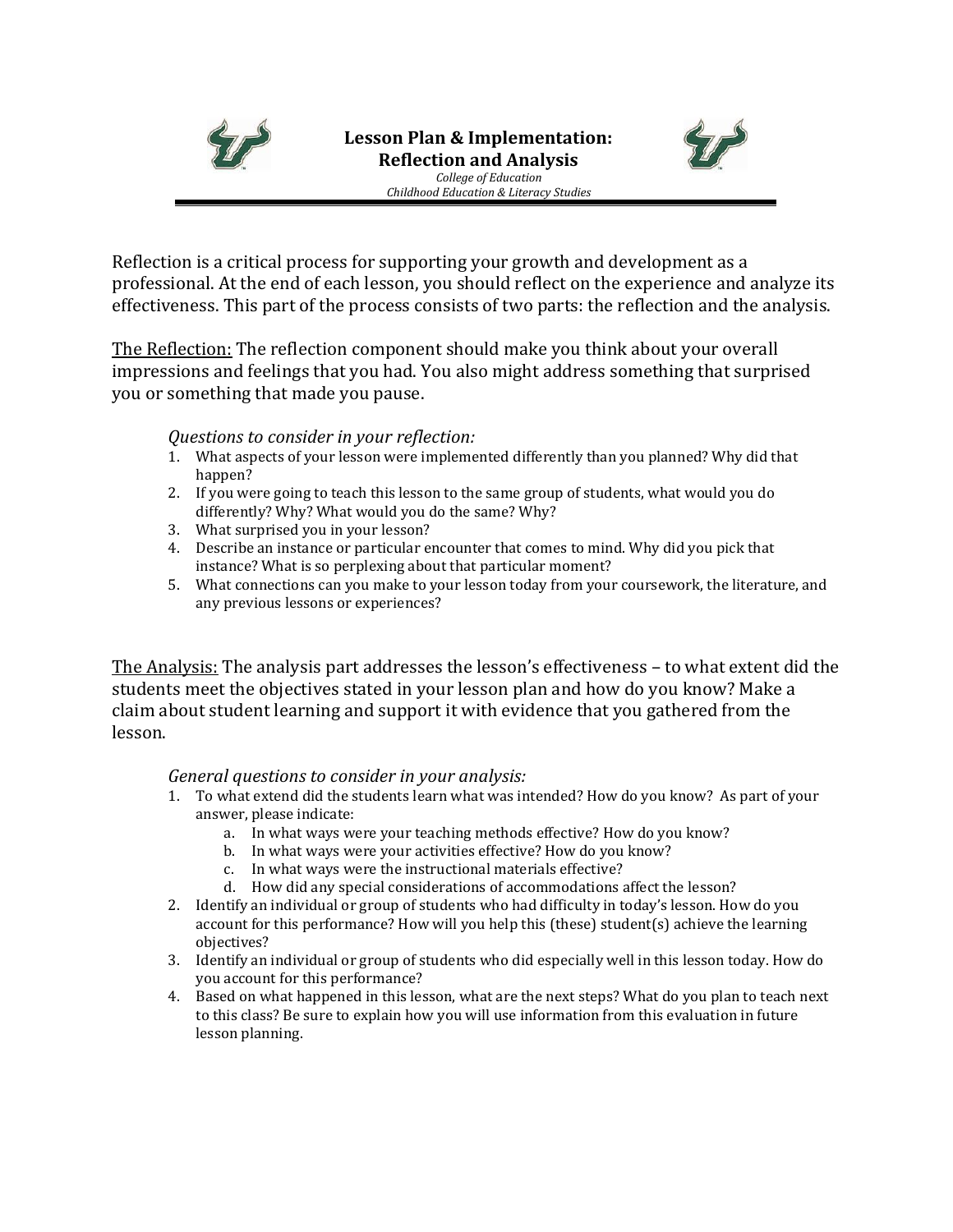



Reflection is a critical process for supporting your growth and development as a professional. At the end of each lesson, you should reflect on the experience and analyze its effectiveness. This part of the process consists of two parts: the reflection and the analysis.

The Reflection: The reflection component should make you think about your overall impressions and feelings that you had. You also might address something that surprised you or something that made you pause.

# *Questions to consider in your reflection:*

- 1. What aspects of your lesson were implemented differently than you planned? Why did that happen?
- 2. If you were going to teach this lesson to the same group of students, what would you do differently? Why? What would you do the same? Why?
- 3. What surprised you in your lesson?
- 4. Describe an instance or particular encounter that comes to mind. Why did you pick that instance? What is so perplexing about that particular moment?
- 5. What connections can you make to your lesson today from your coursework, the literature, and any previous lessons or experiences?

The Analysis: The analysis part addresses the lesson's effectiveness – to what extent did the students meet the objectives stated in your lesson plan and how do you know? Make a claim about student learning and support it with evidence that you gathered from the lesson.

# *General questions to consider in your analysis:*

- 1. To what extend did the students learn what was intended? How do you know? As part of your answer, please indicate:
	- a. In what ways were your teaching methods effective? How do you know?
	- b. In what ways were your activities effective? How do you know?
	- c. In what ways were the instructional materials effective?
	- d. How did any special considerations of accommodations affect the lesson?
- 2. Identify an individual or group of students who had difficulty in today's lesson. How do you account for this performance? How will you help this (these) student(s) achieve the learning objectives?
- 3. Identify an individual or group of students who did especially well in this lesson today. How do you account for this performance?
- 4. Based on what happened in this lesson, what are the next steps? What do you plan to teach next to this class? Be sure to explain how you will use information from this evaluation in future lesson planning.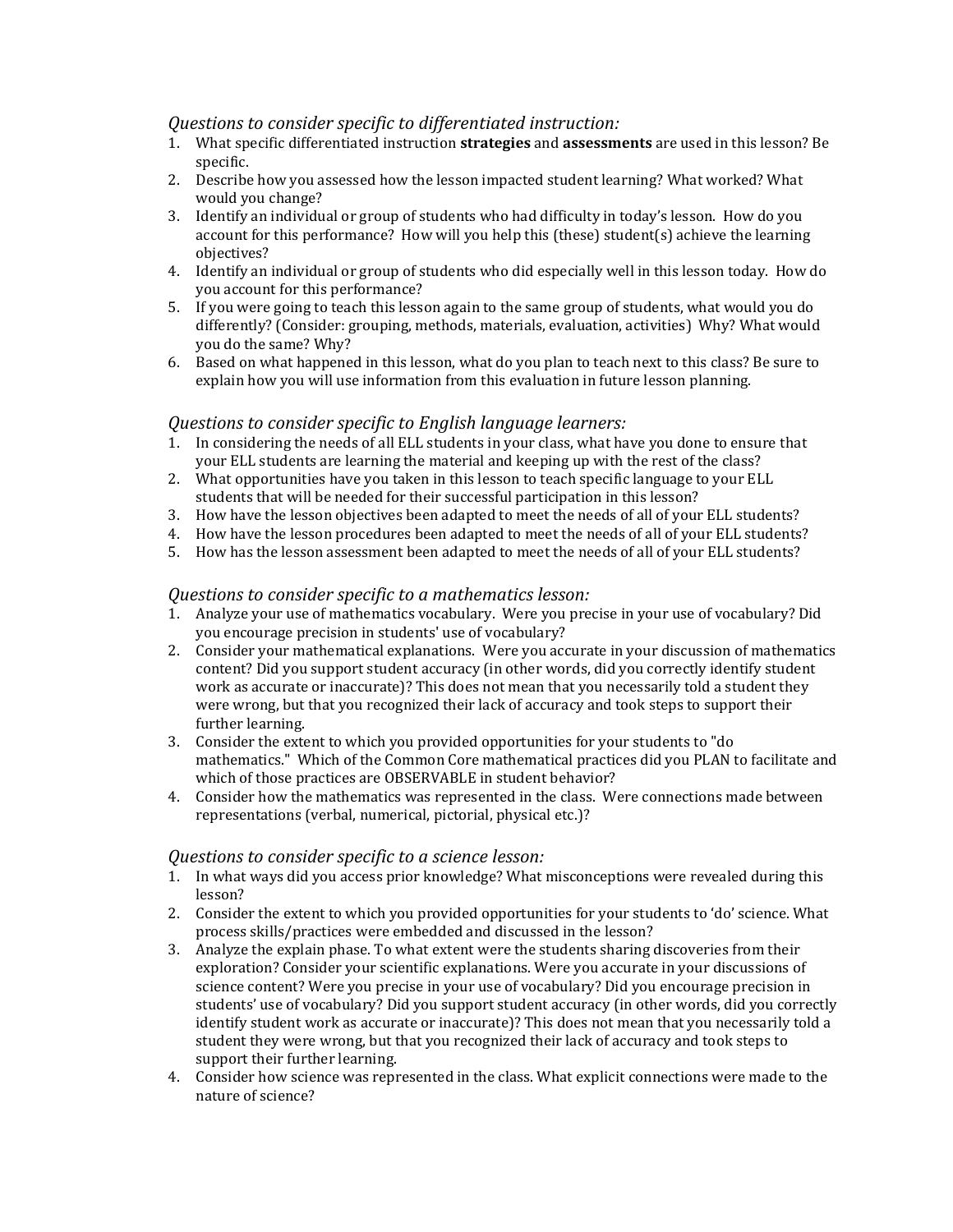## *Questions to consider specific to differentiated instruction:*

- 1. What specific differentiated instruction **strategies** and **assessments** are used in this lesson? Be specific.
- 2. Describe how you assessed how the lesson impacted student learning? What worked? What would you change?
- 3. Identify an individual or group of students who had difficulty in today's lesson. How do you account for this performance? How will you help this (these) student(s) achieve the learning objectives?
- 4. Identify an individual or group of students who did especially well in this lesson today. How do you account for this performance?
- 5. If you were going to teach this lesson again to the same group of students, what would you do differently? (Consider: grouping, methods, materials, evaluation, activities) Why? What would you do the same? Why?
- 6. Based on what happened in this lesson, what do you plan to teach next to this class? Be sure to explain how you will use information from this evaluation in future lesson planning.

## *Questions to consider specific to English language learners:*

- 1. In considering the needs of all ELL students in your class, what have you done to ensure that your ELL students are learning the material and keeping up with the rest of the class?
- 2. What opportunities have you taken in this lesson to teach specific language to your ELL students that will be needed for their successful participation in this lesson?
- 3. How have the lesson objectives been adapted to meet the needs of all of your ELL students?
- 4. How have the lesson procedures been adapted to meet the needs of all of your ELL students?
- 5. How has the lesson assessment been adapted to meet the needs of all of your ELL students?

### *Questions to consider specific to a mathematics lesson:*

- 1. Analyze your use of mathematics vocabulary. Were you precise in your use of vocabulary? Did you encourage precision in students' use of vocabulary?
- 2. Consider your mathematical explanations. Were you accurate in your discussion of mathematics content? Did you support student accuracy (in other words, did you correctly identify student work as accurate or inaccurate)? This does not mean that you necessarily told a student they were wrong, but that you recognized their lack of accuracy and took steps to support their further learning.
- 3. Consider the extent to which you provided opportunities for your students to "do mathematics." Which of the Common Core mathematical practices did you PLAN to facilitate and which of those practices are OBSERVABLE in student behavior?
- 4. Consider how the mathematics was represented in the class. Were connections made between representations (verbal, numerical, pictorial, physical etc.)?

#### *Questions to consider specific to a science lesson:*

- 1. In what ways did you access prior knowledge? What misconceptions were revealed during this lesson?
- 2. Consider the extent to which you provided opportunities for your students to 'do' science. What process skills/practices were embedded and discussed in the lesson?
- 3. Analyze the explain phase. To what extent were the students sharing discoveries from their exploration? Consider your scientific explanations. Were you accurate in your discussions of science content? Were you precise in your use of vocabulary? Did you encourage precision in students' use of vocabulary? Did you support student accuracy (in other words, did you correctly identify student work as accurate or inaccurate)? This does not mean that you necessarily told a student they were wrong, but that you recognized their lack of accuracy and took steps to support their further learning.
- 4. Consider how science was represented in the class. What explicit connections were made to the nature of science?